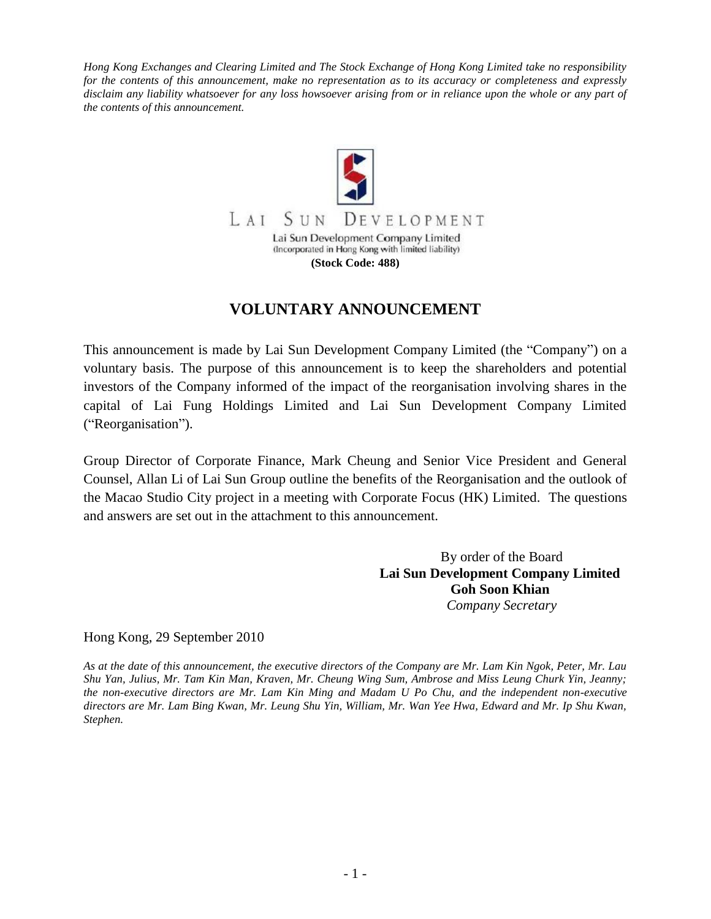*Hong Kong Exchanges and Clearing Limited and The Stock Exchange of Hong Kong Limited take no responsibility for the contents of this announcement, make no representation as to its accuracy or completeness and expressly disclaim any liability whatsoever for any loss howsoever arising from or in reliance upon the whole or any part of the contents of this announcement.*



# **VOLUNTARY ANNOUNCEMENT**

This announcement is made by Lai Sun Development Company Limited (the "Company") on a voluntary basis. The purpose of this announcement is to keep the shareholders and potential investors of the Company informed of the impact of the reorganisation involving shares in the capital of Lai Fung Holdings Limited and Lai Sun Development Company Limited ("Reorganisation").

Group Director of Corporate Finance, Mark Cheung and Senior Vice President and General Counsel, Allan Li of Lai Sun Group outline the benefits of the Reorganisation and the outlook of the Macao Studio City project in a meeting with Corporate Focus (HK) Limited. The questions and answers are set out in the attachment to this announcement.

> By order of the Board **Lai Sun Development Company Limited Goh Soon Khian** *Company Secretary*

Hong Kong, 29 September 2010

*As at the date of this announcement, the executive directors of the Company are Mr. Lam Kin Ngok, Peter, Mr. Lau Shu Yan, Julius, Mr. Tam Kin Man, Kraven, Mr. Cheung Wing Sum, Ambrose and Miss Leung Churk Yin, Jeanny; the non-executive directors are Mr. Lam Kin Ming and Madam U Po Chu, and the independent non-executive directors are Mr. Lam Bing Kwan, Mr. Leung Shu Yin, William, Mr. Wan Yee Hwa, Edward and Mr. Ip Shu Kwan, Stephen.*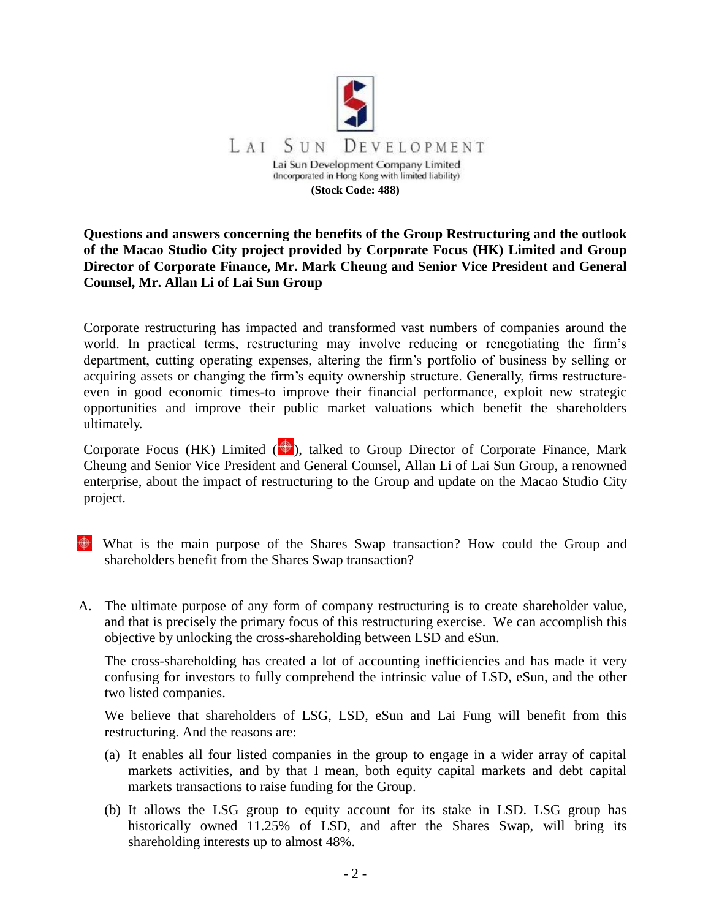

## **Questions and answers concerning the benefits of the Group Restructuring and the outlook of the Macao Studio City project provided by Corporate Focus (HK) Limited and Group Director of Corporate Finance, Mr. Mark Cheung and Senior Vice President and General Counsel, Mr. Allan Li of Lai Sun Group**

Corporate restructuring has impacted and transformed vast numbers of companies around the world. In practical terms, restructuring may involve reducing or renegotiating the firm's department, cutting operating expenses, altering the firm's portfolio of business by selling or acquiring assets or changing the firm's equity ownership structure. Generally, firms restructureeven in good economic times-to improve their financial performance, exploit new strategic opportunities and improve their public market valuations which benefit the shareholders ultimately.

Corporate Focus (HK) Limited  $\left(\bigoplus_{k=1}^{\infty} A_k\right)$ , talked to Group Director of Corporate Finance, Mark Cheung and Senior Vice President and General Counsel, Allan Li of Lai Sun Group, a renowned enterprise, about the impact of restructuring to the Group and update on the Macao Studio City project.

- What is the main purpose of the Shares Swap transaction? How could the Group and shareholders benefit from the Shares Swap transaction?
- A. The ultimate purpose of any form of company restructuring is to create shareholder value, and that is precisely the primary focus of this restructuring exercise. We can accomplish this objective by unlocking the cross-shareholding between LSD and eSun.

The cross-shareholding has created a lot of accounting inefficiencies and has made it very confusing for investors to fully comprehend the intrinsic value of LSD, eSun, and the other two listed companies.

We believe that shareholders of LSG, LSD, eSun and Lai Fung will benefit from this restructuring. And the reasons are:

- (a) It enables all four listed companies in the group to engage in a wider array of capital markets activities, and by that I mean, both equity capital markets and debt capital markets transactions to raise funding for the Group.
- (b) It allows the LSG group to equity account for its stake in LSD. LSG group has historically owned 11.25% of LSD, and after the Shares Swap, will bring its shareholding interests up to almost 48%.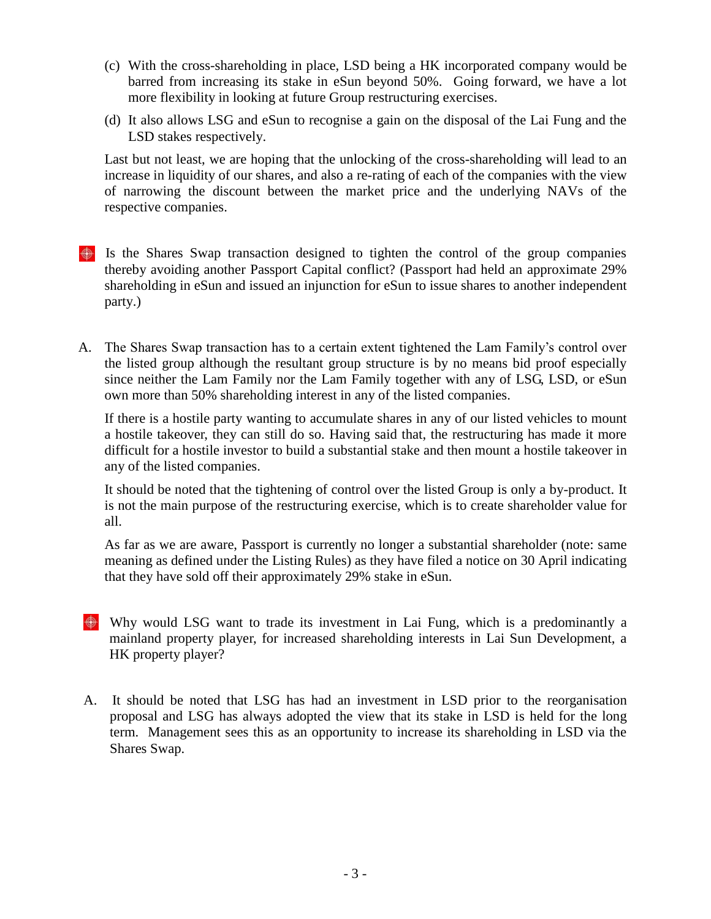- (c) With the cross-shareholding in place, LSD being a HK incorporated company would be barred from increasing its stake in eSun beyond 50%. Going forward, we have a lot more flexibility in looking at future Group restructuring exercises.
- (d) It also allows LSG and eSun to recognise a gain on the disposal of the Lai Fung and the LSD stakes respectively.

Last but not least, we are hoping that the unlocking of the cross-shareholding will lead to an increase in liquidity of our shares, and also a re-rating of each of the companies with the view of narrowing the discount between the market price and the underlying NAVs of the respective companies.

- $\bigoplus$  Is the Shares Swap transaction designed to tighten the control of the group companies thereby avoiding another Passport Capital conflict? (Passport had held an approximate 29% shareholding in eSun and issued an injunction for eSun to issue shares to another independent party.)
- A. The Shares Swap transaction has to a certain extent tightened the Lam Family's control over the listed group although the resultant group structure is by no means bid proof especially since neither the Lam Family nor the Lam Family together with any of LSG, LSD, or eSun own more than 50% shareholding interest in any of the listed companies.

If there is a hostile party wanting to accumulate shares in any of our listed vehicles to mount a hostile takeover, they can still do so. Having said that, the restructuring has made it more difficult for a hostile investor to build a substantial stake and then mount a hostile takeover in any of the listed companies.

It should be noted that the tightening of control over the listed Group is only a by-product. It is not the main purpose of the restructuring exercise, which is to create shareholder value for all.

As far as we are aware, Passport is currently no longer a substantial shareholder (note: same meaning as defined under the Listing Rules) as they have filed a notice on 30 April indicating that they have sold off their approximately 29% stake in eSun.

- $\bigoplus$  Why would LSG want to trade its investment in Lai Fung, which is a predominantly a mainland property player, for increased shareholding interests in Lai Sun Development, a HK property player?
- A. It should be noted that LSG has had an investment in LSD prior to the reorganisation proposal and LSG has always adopted the view that its stake in LSD is held for the long term. Management sees this as an opportunity to increase its shareholding in LSD via the Shares Swap.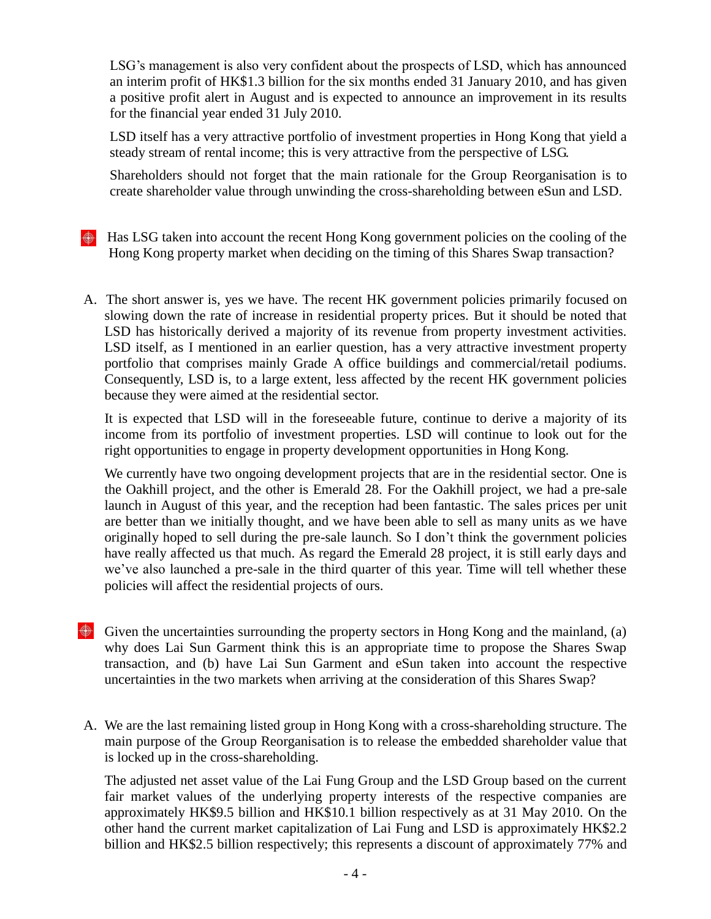LSG's management is also very confident about the prospects of LSD, which has announced an interim profit of HK\$1.3 billion for the six months ended 31 January 2010, and has given a positive profit alert in August and is expected to announce an improvement in its results for the financial year ended 31 July 2010.

LSD itself has a very attractive portfolio of investment properties in Hong Kong that yield a steady stream of rental income; this is very attractive from the perspective of LSG.

Shareholders should not forget that the main rationale for the Group Reorganisation is to create shareholder value through unwinding the cross-shareholding between eSun and LSD.

- $\bigoplus$  Has LSG taken into account the recent Hong Kong government policies on the cooling of the Hong Kong property market when deciding on the timing of this Shares Swap transaction?
- A. The short answer is, yes we have. The recent HK government policies primarily focused on slowing down the rate of increase in residential property prices. But it should be noted that LSD has historically derived a majority of its revenue from property investment activities. LSD itself, as I mentioned in an earlier question, has a very attractive investment property portfolio that comprises mainly Grade A office buildings and commercial/retail podiums. Consequently, LSD is, to a large extent, less affected by the recent HK government policies because they were aimed at the residential sector.

It is expected that LSD will in the foreseeable future, continue to derive a majority of its income from its portfolio of investment properties. LSD will continue to look out for the right opportunities to engage in property development opportunities in Hong Kong.

We currently have two ongoing development projects that are in the residential sector. One is the Oakhill project, and the other is Emerald 28. For the Oakhill project, we had a pre-sale launch in August of this year, and the reception had been fantastic. The sales prices per unit are better than we initially thought, and we have been able to sell as many units as we have originally hoped to sell during the pre-sale launch. So I don't think the government policies have really affected us that much. As regard the Emerald 28 project, it is still early days and we've also launched a pre-sale in the third quarter of this year. Time will tell whether these policies will affect the residential projects of ours.

- $\bigoplus$  Given the uncertainties surrounding the property sectors in Hong Kong and the mainland, (a) why does Lai Sun Garment think this is an appropriate time to propose the Shares Swap transaction, and (b) have Lai Sun Garment and eSun taken into account the respective uncertainties in the two markets when arriving at the consideration of this Shares Swap?
- A. We are the last remaining listed group in Hong Kong with a cross-shareholding structure. The main purpose of the Group Reorganisation is to release the embedded shareholder value that is locked up in the cross-shareholding.

The adjusted net asset value of the Lai Fung Group and the LSD Group based on the current fair market values of the underlying property interests of the respective companies are approximately HK\$9.5 billion and HK\$10.1 billion respectively as at 31 May 2010. On the other hand the current market capitalization of Lai Fung and LSD is approximately HK\$2.2 billion and HK\$2.5 billion respectively; this represents a discount of approximately 77% and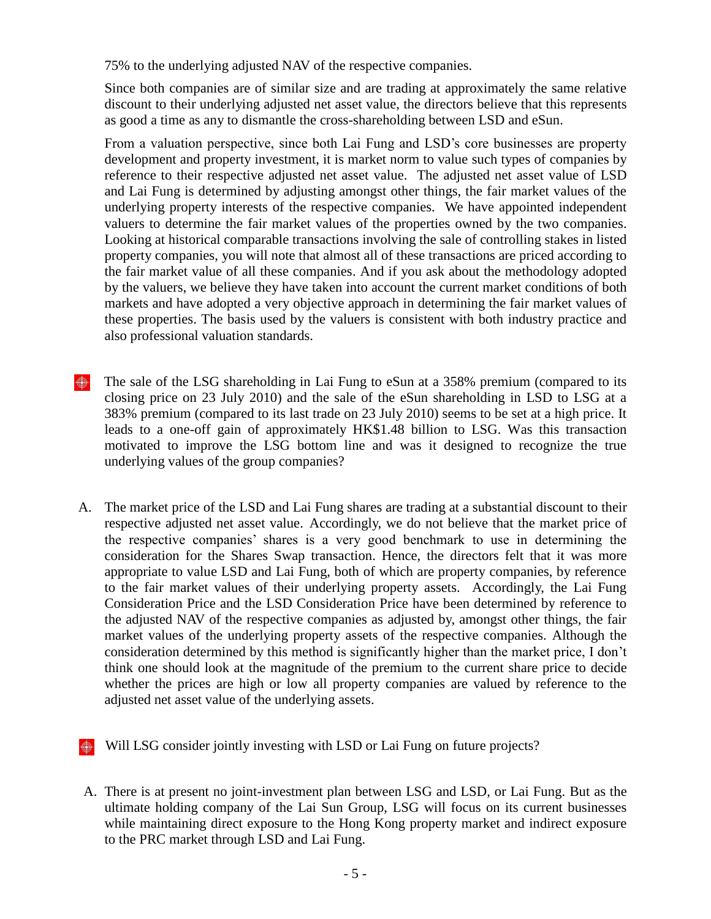75% to the underlying adjusted NAV of the respective companies.

Since both companies are of similar size and are trading at approximately the same relative discount to their underlying adjusted net asset value, the directors believe that this represents as good a time as any to dismantle the cross-shareholding between LSD and eSun.

From a valuation perspective, since both Lai Fung and LSD's core businesses are property development and property investment, it is market norm to value such types of companies by reference to their respective adjusted net asset value. The adjusted net asset value of LSD and Lai Fung is determined by adjusting amongst other things, the fair market values of the underlying property interests of the respective companies. We have appointed independent valuers to determine the fair market values of the properties owned by the two companies. Looking at historical comparable transactions involving the sale of controlling stakes in listed property companies, you will note that almost all of these transactions are priced according to the fair market value of all these companies. And if you ask about the methodology adopted by the valuers, we believe they have taken into account the current market conditions of both markets and have adopted a very objective approach in determining the fair market values of these properties. The basis used by the valuers is consistent with both industry practice and also professional valuation standards.

- **←** The sale of the LSG shareholding in Lai Fung to eSun at a 358% premium (compared to its closing price on 23 July 2010) and the sale of the eSun shareholding in LSD to LSG at a 383% premium (compared to its last trade on 23 July 2010) seems to be set at a high price. It leads to a one-off gain of approximately HK\$1.48 billion to LSG. Was this transaction motivated to improve the LSG bottom line and was it designed to recognize the true underlying values of the group companies?
- A. The market price of the LSD and Lai Fung shares are trading at a substantial discount to their respective adjusted net asset value. Accordingly, we do not believe that the market price of the respective companies' shares is a very good benchmark to use in determining the consideration for the Shares Swap transaction. Hence, the directors felt that it was more appropriate to value LSD and Lai Fung, both of which are property companies, by reference to the fair market values of their underlying property assets. Accordingly, the Lai Fung Consideration Price and the LSD Consideration Price have been determined by reference to the adjusted NAV of the respective companies as adjusted by, amongst other things, the fair market values of the underlying property assets of the respective companies. Although the consideration determined by this method is significantly higher than the market price, I don't think one should look at the magnitude of the premium to the current share price to decide whether the prices are high or low all property companies are valued by reference to the adjusted net asset value of the underlying assets.
- Will LSG consider jointly investing with LSD or Lai Fung on future projects?
- A. There is at present no joint-investment plan between LSG and LSD, or Lai Fung. But as the ultimate holding company of the Lai Sun Group, LSG will focus on its current businesses while maintaining direct exposure to the Hong Kong property market and indirect exposure to the PRC market through LSD and Lai Fung.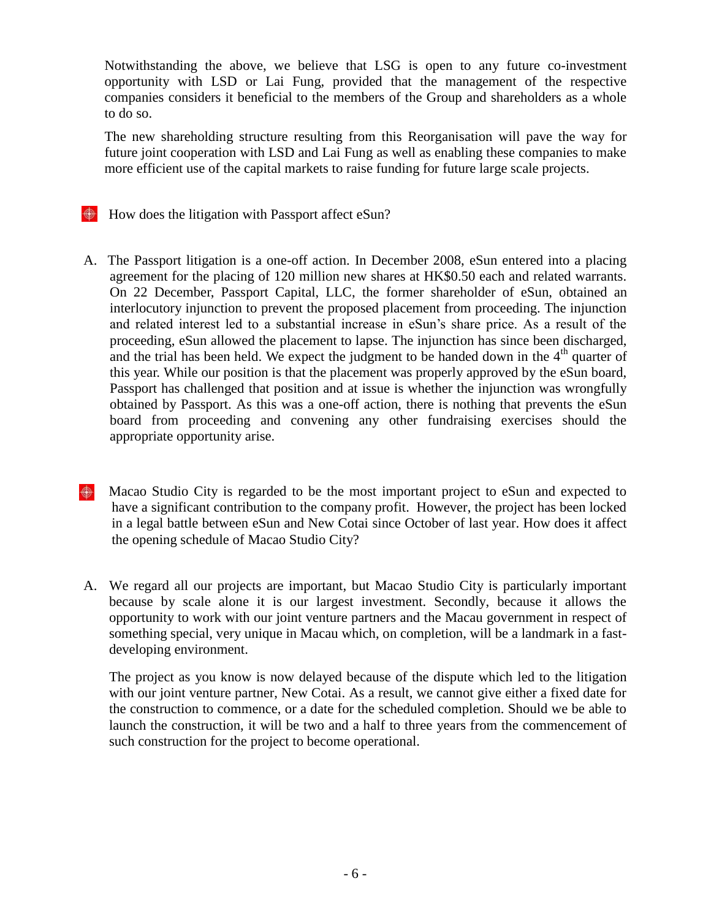Notwithstanding the above, we believe that LSG is open to any future co-investment opportunity with LSD or Lai Fung, provided that the management of the respective companies considers it beneficial to the members of the Group and shareholders as a whole to do so.

The new shareholding structure resulting from this Reorganisation will pave the way for future joint cooperation with LSD and Lai Fung as well as enabling these companies to make more efficient use of the capital markets to raise funding for future large scale projects.

- How does the litigation with Passport affect eSun?
- A. The Passport litigation is a one-off action. In December 2008, eSun entered into a placing agreement for the placing of 120 million new shares at HK\$0.50 each and related warrants. On 22 December, Passport Capital, LLC, the former shareholder of eSun, obtained an interlocutory injunction to prevent the proposed placement from proceeding. The injunction and related interest led to a substantial increase in eSun's share price. As a result of the proceeding, eSun allowed the placement to lapse. The injunction has since been discharged, and the trial has been held. We expect the judgment to be handed down in the 4<sup>th</sup> quarter of this year. While our position is that the placement was properly approved by the eSun board, Passport has challenged that position and at issue is whether the injunction was wrongfully obtained by Passport. As this was a one-off action, there is nothing that prevents the eSun board from proceeding and convening any other fundraising exercises should the appropriate opportunity arise.
- ⊕ Macao Studio City is regarded to be the most important project to eSun and expected to have a significant contribution to the company profit. However, the project has been locked in a legal battle between eSun and New Cotai since October of last year. How does it affect the opening schedule of Macao Studio City?
- A. We regard all our projects are important, but Macao Studio City is particularly important because by scale alone it is our largest investment. Secondly, because it allows the opportunity to work with our joint venture partners and the Macau government in respect of something special, very unique in Macau which, on completion, will be a landmark in a fastdeveloping environment.

The project as you know is now delayed because of the dispute which led to the litigation with our joint venture partner, New Cotai. As a result, we cannot give either a fixed date for the construction to commence, or a date for the scheduled completion. Should we be able to launch the construction, it will be two and a half to three years from the commencement of such construction for the project to become operational.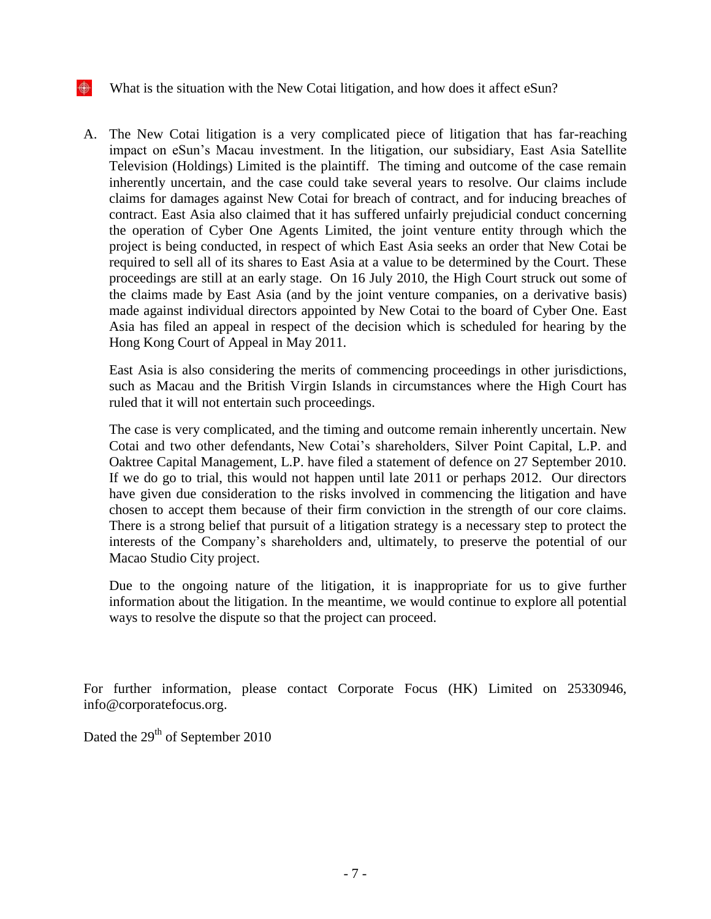#### ⊕ What is the situation with the New Cotai litigation, and how does it affect eSun?

A. The New Cotai litigation is a very complicated piece of litigation that has far-reaching impact on eSun's Macau investment. In the litigation, our subsidiary, East Asia Satellite Television (Holdings) Limited is the plaintiff. The timing and outcome of the case remain inherently uncertain, and the case could take several years to resolve. Our claims include claims for damages against New Cotai for breach of contract, and for inducing breaches of contract. East Asia also claimed that it has suffered unfairly prejudicial conduct concerning the operation of Cyber One Agents Limited, the joint venture entity through which the project is being conducted, in respect of which East Asia seeks an order that New Cotai be required to sell all of its shares to East Asia at a value to be determined by the Court. These proceedings are still at an early stage. On 16 July 2010, the High Court struck out some of the claims made by East Asia (and by the joint venture companies, on a derivative basis) made against individual directors appointed by New Cotai to the board of Cyber One. East Asia has filed an appeal in respect of the decision which is scheduled for hearing by the Hong Kong Court of Appeal in May 2011.

East Asia is also considering the merits of commencing proceedings in other jurisdictions, such as Macau and the British Virgin Islands in circumstances where the High Court has ruled that it will not entertain such proceedings.

The case is very complicated, and the timing and outcome remain inherently uncertain. New Cotai and two other defendants, New Cotai's shareholders, Silver Point Capital, L.P. and Oaktree Capital Management, L.P. have filed a statement of defence on 27 September 2010. If we do go to trial, this would not happen until late 2011 or perhaps 2012. Our directors have given due consideration to the risks involved in commencing the litigation and have chosen to accept them because of their firm conviction in the strength of our core claims. There is a strong belief that pursuit of a litigation strategy is a necessary step to protect the interests of the Company's shareholders and, ultimately, to preserve the potential of our Macao Studio City project.

Due to the ongoing nature of the litigation, it is inappropriate for us to give further information about the litigation. In the meantime, we would continue to explore all potential ways to resolve the dispute so that the project can proceed.

For further information, please contact Corporate Focus (HK) Limited on 25330946, info@corporatefocus.org.

Dated the 29<sup>th</sup> of September 2010